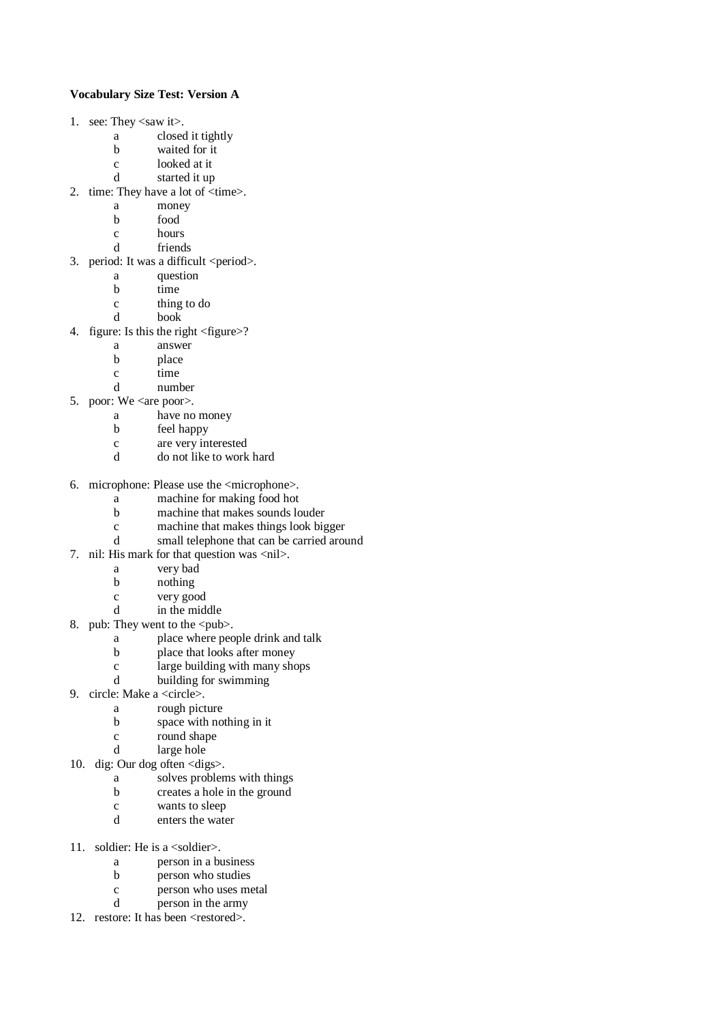## **Vocabulary Size Test: Version A**

- 1. see: They <saw it>.
	- a closed it tightly
	- b waited for it
	- c looked at it
	- d started it up
- 2. time: They have a lot of <time>.
	- a money
	- b food
	- c hours
	- d friends
- 3. period: It was a difficult <period>.
	- a question
	- b time
	- c thing to do
	- d book
- 4. figure: Is this the right <figure>?
	- a answer
	- b place
	- c time
	- d number
- 5. poor: We <are poor>.
	- a have no money
	- b feel happy
	- c are very interested
	- d do not like to work hard
- 6. microphone: Please use the <microphone>.
	- a machine for making food hot
	- b machine that makes sounds louder
	- c machine that makes things look bigger
	- d small telephone that can be carried around
- 7. nil: His mark for that question was <nil>.
	- a very bad
	- b nothing
	- c very good
	- d in the middle
- 8. pub: They went to the <pub>.
	- a place where people drink and talk
	- b place that looks after money
	- c large building with many shops
	- d building for swimming
- 9. circle: Make a <circle>.
	- a rough picture
	- b space with nothing in it
	- c round shape<br>d large hole
	- large hole
- 10. dig: Our dog often <digs>.
	- a solves problems with things
	- b creates a hole in the ground
	- c wants to sleep
	- d enters the water
- 11. soldier: He is a <soldier>.
	- a person in a business
	- b person who studies
	- c person who uses metal
	- d person in the army
- 12. restore: It has been <restored>.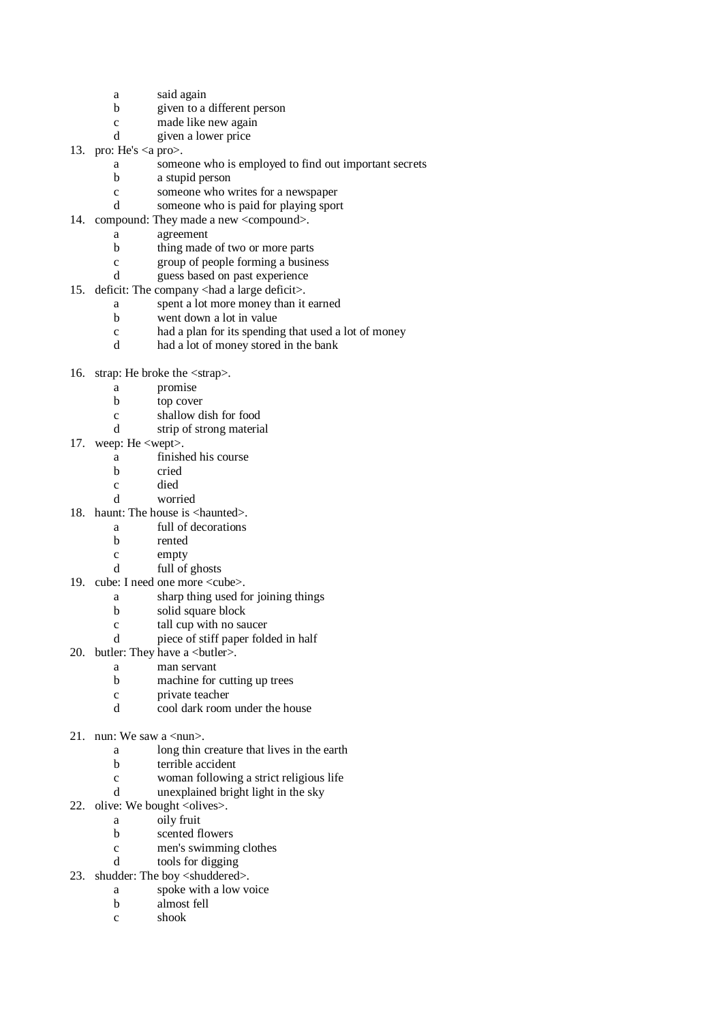- a said again
- b given to a different person
- c made like new again
- d given a lower price
- 13. pro: He's  $\langle a \text{ pro} \rangle$ .
	- a someone who is employed to find out important secrets
	- b a stupid person
	- c someone who writes for a newspaper
	- d someone who is paid for playing sport
- 14. compound: They made a new <compound>.
	- a agreement
	- b thing made of two or more parts
	- c group of people forming a business
	- d guess based on past experience
- 15. deficit: The company <had a large deficit>.
	- a spent a lot more money than it earned
	- b went down a lot in value
	- c had a plan for its spending that used a lot of money
	- d had a lot of money stored in the bank
- 16. strap: He broke the <strap>.
	- a promise
	- b top cover
	- c shallow dish for food
	- d strip of strong material
- 17. weep: He <wept>.
	- a finished his course
	- b cried
	- c died
	- d worried
- 18. haunt: The house is <haunted>.
	- a full of decorations
	- b rented
	- c empty
	- d full of ghosts
- 19. cube: I need one more <cube>.
	- a sharp thing used for joining things
	- b solid square block
	- c tall cup with no saucer
	- d piece of stiff paper folded in half
- 20. butler: They have a <br/> <br/> <br/>dutler>.
	- a man servant
	- b machine for cutting up trees
	- c private teacher
	- d cool dark room under the house
- 21. nun: We saw a  $\langle$ nun $\rangle$ .
	- a long thin creature that lives in the earth
	- b terrible accident
	- c woman following a strict religious life
	- d unexplained bright light in the sky
- 22. olive: We bought  $\langle$ olives $\rangle$ .
	- a oily fruit
	- b scented flowers
	- c men's swimming clothes
	- d tools for digging
- 23. shudder: The boy <shuddered>.
	- a spoke with a low voice b almost fell
	- c shook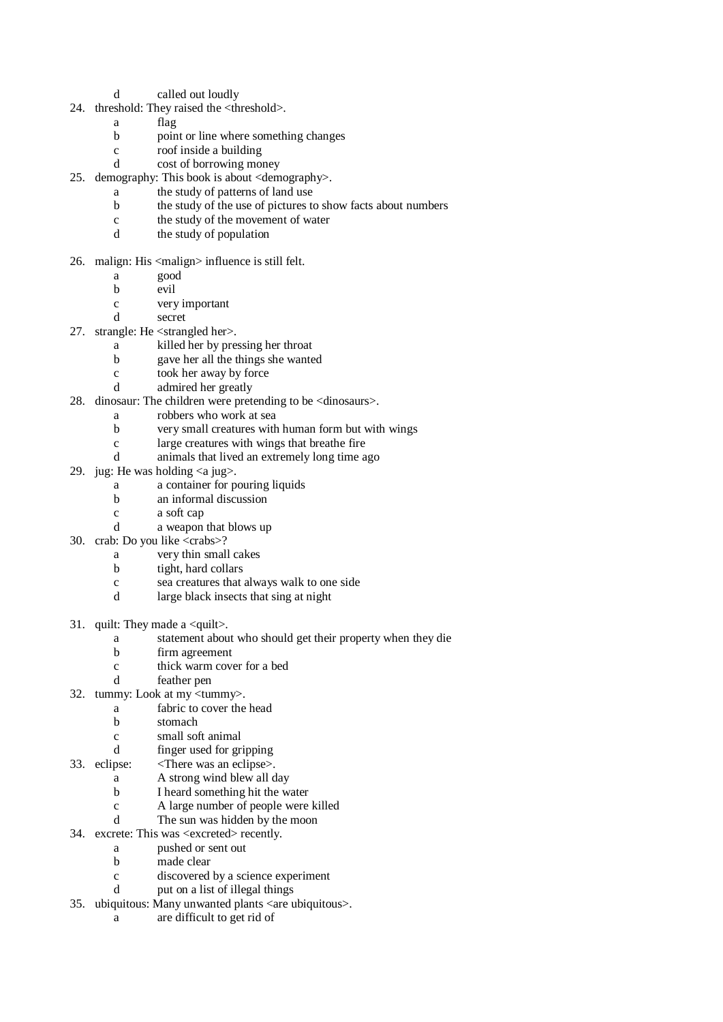- d called out loudly
- 24. threshold: They raised the <threshold>.
	- a flag
	- b point or line where something changes
	- c roof inside a building
	- d cost of borrowing money
- 25. demography: This book is about <demography>.
	- a the study of patterns of land use
	- b the study of the use of pictures to show facts about numbers
	- c the study of the movement of water
	- d the study of population
- 26. malign: His <malign> influence is still felt.
	- a good
	- b evil
	- c very important
	- d secret
- 27. strangle: He <strangled her>.
	- a killed her by pressing her throat
	- b gave her all the things she wanted
	- c took her away by force
	- d admired her greatly
- 28. dinosaur: The children were pretending to be <dinosaurs>.
	- a robbers who work at sea
	- b very small creatures with human form but with wings
	- c large creatures with wings that breathe fire
	- d animals that lived an extremely long time ago
- 29. jug: He was holding  $\langle a$  jug $\rangle$ .
	- a a container for pouring liquids
	- b an informal discussion
	- c a soft cap
	- d a weapon that blows up
- 30. crab: Do you like <crabs>?
	- a very thin small cakes
	- b tight, hard collars
	- c sea creatures that always walk to one side
	- d large black insects that sing at night
- 31. quilt: They made a <quilt>.
	- a statement about who should get their property when they die
	- b firm agreement
	- c thick warm cover for a bed
	- d feather pen
- 32. tummy: Look at my <tummy>.
	- a fabric to cover the head
		- b stomach
	- c small soft animal
	- d finger used for gripping
- 33. eclipse: <There was an eclipse>.
	- a A strong wind blew all day
	- b I heard something hit the water
	- c A large number of people were killed
	- d The sun was hidden by the moon
- 34. excrete: This was <excreted> recently.
	- a pushed or sent out
	- b made clear
	- c discovered by a science experiment
	- d put on a list of illegal things
- 35. ubiquitous: Many unwanted plants <are ubiquitous>.
	- a are difficult to get rid of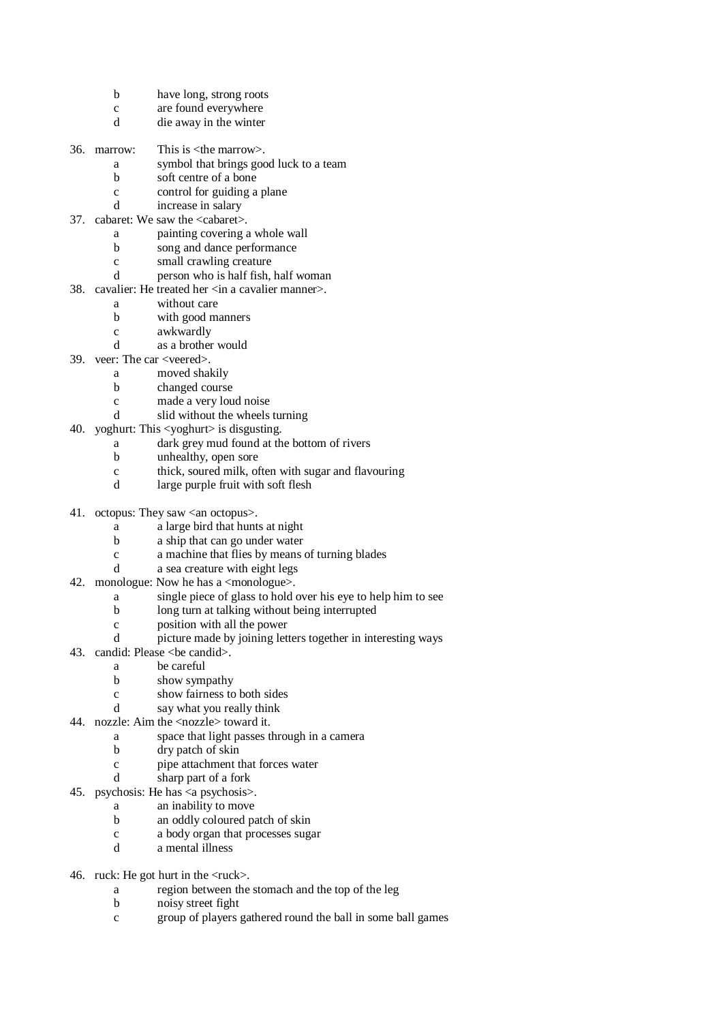- b have long, strong roots
- c are found everywhere
- d die away in the winter
- 36. marrow: This is  $\langle$ the marrow $\rangle$ .
	- a symbol that brings good luck to a team
	- b soft centre of a bone
	- c control for guiding a plane
	- d increase in salary
- 37. cabaret: We saw the <cabaret>.
	- a painting covering a whole wall
	- b song and dance performance
	- c small crawling creature
	- d person who is half fish, half woman
- 38. cavalier: He treated her <in a cavalier manner>.
	- a without care
	- b with good manners
	- c awkwardly
	- d as a brother would
- 39. veer: The car <veered>.
	- a moved shakily
	- b changed course
	- c made a very loud noise
	- d slid without the wheels turning
- 40. yoghurt: This <yoghurt> is disgusting.
	- a dark grey mud found at the bottom of rivers
	- b unhealthy, open sore
	- c thick, soured milk, often with sugar and flavouring
	- d large purple fruit with soft flesh
- 41. octopus: They saw <an octopus>.
	- a a large bird that hunts at night
	- b a ship that can go under water
	- c a machine that flies by means of turning blades
	- d a sea creature with eight legs
- 42. monologue: Now he has a  $\langle$  monologue $\rangle$ .
	- a single piece of glass to hold over his eye to help him to see
	- b long turn at talking without being interrupted
	- c position with all the power
	- d picture made by joining letters together in interesting ways
- 43. candid: Please < be candid >.
	- a be careful
	- b show sympathy
	- c show fairness to both sides
	- d say what you really think
- 44. nozzle: Aim the <nozzle> toward it.
	- a space that light passes through in a camera
		- b dry patch of skin
		- c pipe attachment that forces water
		- d sharp part of a fork
- 45. psychosis: He has <a psychosis>.
	- a an inability to move
	- b an oddly coloured patch of skin
	- c a body organ that processes sugar
	- d a mental illness
- 46. ruck: He got hurt in the  $\langle$ ruck $\rangle$ .
	- a region between the stomach and the top of the leg
	- b noisy street fight
	- c group of players gathered round the ball in some ball games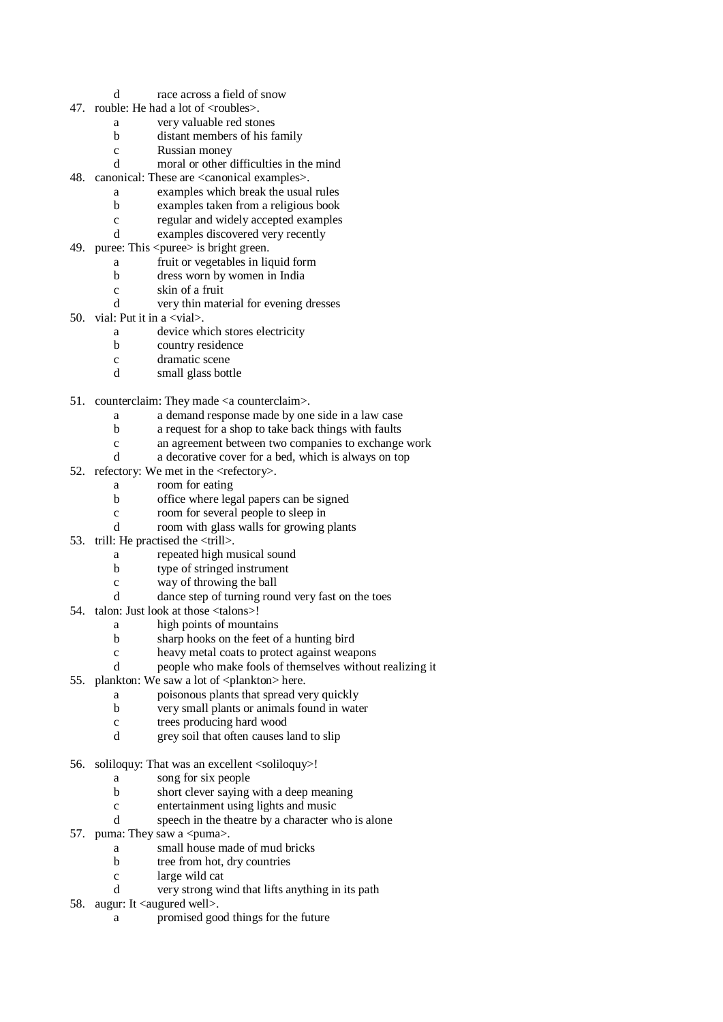- d race across a field of snow
- 47. rouble: He had a lot of  $\langle$ roubles $\rangle$ .
	- a very valuable red stones
	- b distant members of his family
	- c Russian money
	- d moral or other difficulties in the mind
- 48. canonical: These are <canonical examples>.
	- a examples which break the usual rules
	- b examples taken from a religious book
	- c regular and widely accepted examples
	- d examples discovered very recently
- 49. puree: This < puree > is bright green.
	- a fruit or vegetables in liquid form
	- b dress worn by women in India
	- c skin of a fruit
	- d very thin material for evening dresses
- 50. vial: Put it in a  $\langle$ vial $\rangle$ .
	- a device which stores electricity
	- b country residence
	- c dramatic scene
	- d small glass bottle
- 51. counterclaim: They made <a counterclaim>.
	- a a demand response made by one side in a law case
	- b a request for a shop to take back things with faults
	- c an agreement between two companies to exchange work
	- d a decorative cover for a bed, which is always on top
- 52. refectory: We met in the  $\langle$ refectory $\rangle$ .
	- a room for eating
	- b office where legal papers can be signed
	- c room for several people to sleep in
	- d room with glass walls for growing plants
- 53. trill: He practised the <trill>.
	- a repeated high musical sound
	- b type of stringed instrument
	- c way of throwing the ball
	- d dance step of turning round very fast on the toes
- 54. talon: Just look at those <talons>!
	- a high points of mountains
	- b sharp hooks on the feet of a hunting bird
	- c heavy metal coats to protect against weapons
	- d people who make fools of themselves without realizing it
- 55. plankton: We saw a lot of  $\langle$  plankton $\rangle$  here.
	- a poisonous plants that spread very quickly
	- b very small plants or animals found in water
	- c trees producing hard wood
	- d grey soil that often causes land to slip
- 56. soliloquy: That was an excellent <soliloquy>!
	- a song for six people
		- b short clever saying with a deep meaning
	- c entertainment using lights and music
	- d speech in the theatre by a character who is alone
- 57. puma: They saw a  $\langle$  puma $\rangle$ .
	- a small house made of mud bricks
	- b tree from hot, dry countries
	- c large wild cat
	- d very strong wind that lifts anything in its path
- 58. augur: It <augured well>.
	- a promised good things for the future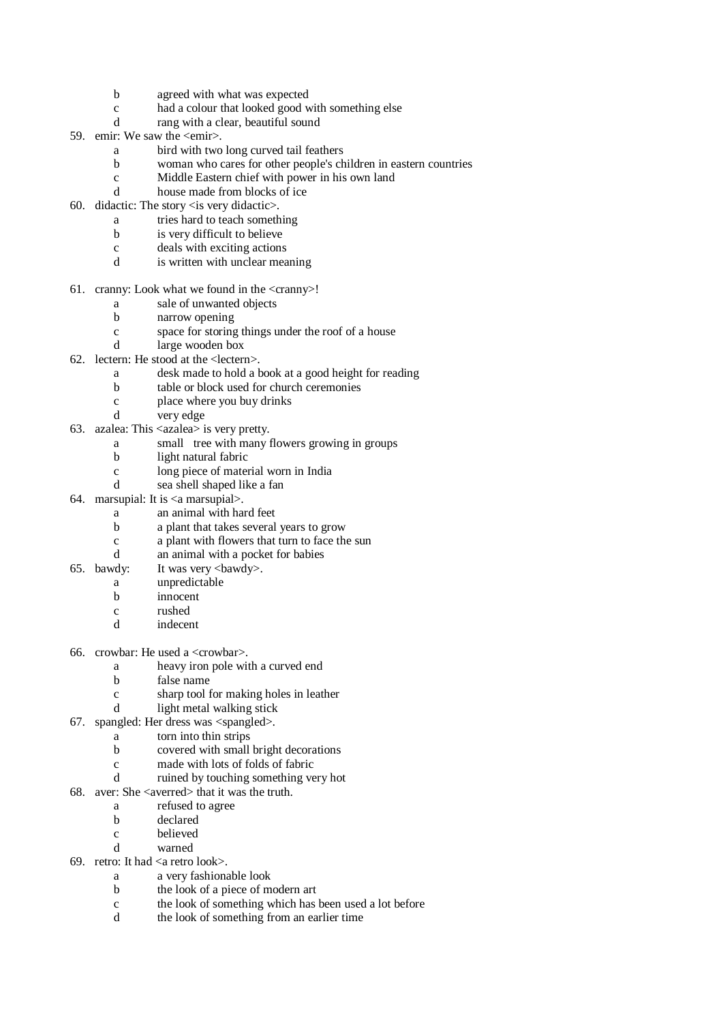- b agreed with what was expected
- c had a colour that looked good with something else
- d rang with a clear, beautiful sound
- 59. emir: We saw the <emir>.
	- a bird with two long curved tail feathers
	- b woman who cares for other people's children in eastern countries
	- c Middle Eastern chief with power in his own land
	- d house made from blocks of ice
- 60. didactic: The story <is very didactic>.
	- a tries hard to teach something
	- b is very difficult to believe
	- c deals with exciting actions
	- d is written with unclear meaning
- 61. cranny: Look what we found in the  $\langle$ cranny $\rangle$ !
	- a sale of unwanted objects
	- b narrow opening
	- c space for storing things under the roof of a house
	- d large wooden box
- 62. lectern: He stood at the <lectern>.
	- a desk made to hold a book at a good height for reading
	- b table or block used for church ceremonies
	- c place where you buy drinks
	- d very edge
- 63. azalea: This <azalea> is very pretty.
	- a small tree with many flowers growing in groups
	- b light natural fabric
	- c long piece of material worn in India
	- d sea shell shaped like a fan
- 64. marsupial: It is <a marsupial>.
	- a an animal with hard feet
	- b a plant that takes several years to grow
	- c a plant with flowers that turn to face the sun
	- d an animal with a pocket for babies
- 65. bawdy: It was very  $\langle$ bawdy>.
	- a unpredictable
		- b innocent
		- c rushed
		- d indecent
- 66. crowbar: He used a <crowbar>.
	- a heavy iron pole with a curved end
	- b false name
	- c sharp tool for making holes in leather
	- d light metal walking stick
- 67. spangled: Her dress was <spangled>.
	- a torn into thin strips
		- b covered with small bright decorations
		- c made with lots of folds of fabric
		- d ruined by touching something very hot
- 68. aver: She <averred> that it was the truth.
	- a refused to agree
	- b declared
	- c believed
	- d warned
- 69. retro: It had <a retro look>.
	- a a very fashionable look
	- b the look of a piece of modern art
	- c the look of something which has been used a lot before
	- d the look of something from an earlier time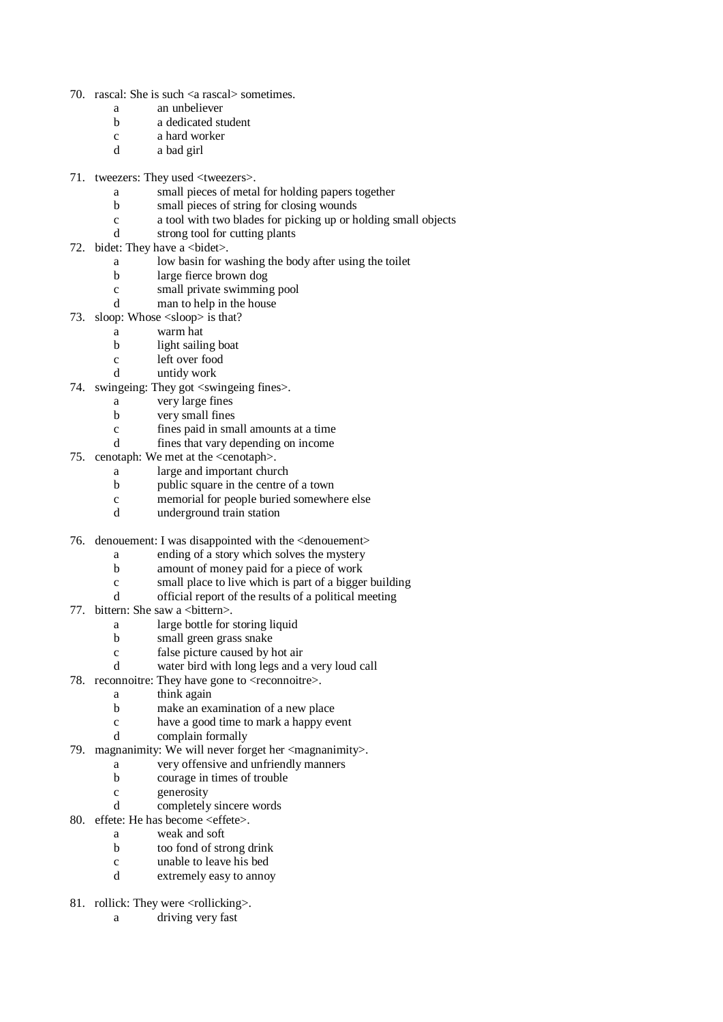- 70. rascal: She is such <a rascal> sometimes.
	- a an unbeliever
	- b a dedicated student
	- c a hard worker
	- d a bad girl
- 71. tweezers: They used <tweezers>.
	- a small pieces of metal for holding papers together
	- b small pieces of string for closing wounds
	- c a tool with two blades for picking up or holding small objects
	- d strong tool for cutting plants
- 72. bidet: They have a  $\lt$ bidet $\gt$ .
	- a low basin for washing the body after using the toilet
	- b large fierce brown dog
	- c small private swimming pool
	- d man to help in the house
- 73. sloop: Whose <sloop> is that?
	- a warm hat
	- b light sailing boat
	- c left over food
	- d untidy work
- 74. swingeing: They got <swingeing fines>.
	- a very large fines
	- b very small fines
	- c fines paid in small amounts at a time
	- d fines that vary depending on income
- 75. cenotaph: We met at the <cenotaph>.
	- a large and important church
	- b public square in the centre of a town
	- c memorial for people buried somewhere else<br>d underground train station
	- underground train station
- 76. denouement: I was disappointed with the <denouement>
	- a ending of a story which solves the mystery
	- b amount of money paid for a piece of work
	- c small place to live which is part of a bigger building
	- d official report of the results of a political meeting
- 77. bittern: She saw a <br/>bittern>.
	- a large bottle for storing liquid
	- b small green grass snake
	- c false picture caused by hot air
	- d water bird with long legs and a very loud call
- 78. reconnoitre: They have gone to  $\leq$  reconnoitre $\geq$ .
	- a think again
	- b make an examination of a new place
	- c have a good time to mark a happy event
	- d complain formally
- 79. magnanimity: We will never forget her <magnanimity>.
	- a very offensive and unfriendly manners
	- b courage in times of trouble
	- c generosity
	- d completely sincere words
- 80. effete: He has become <effete>.
	- a weak and soft
	- b too fond of strong drink
	- c unable to leave his bed
	- d extremely easy to annoy
- 81. rollick: They were <rollicking>.
	- a driving very fast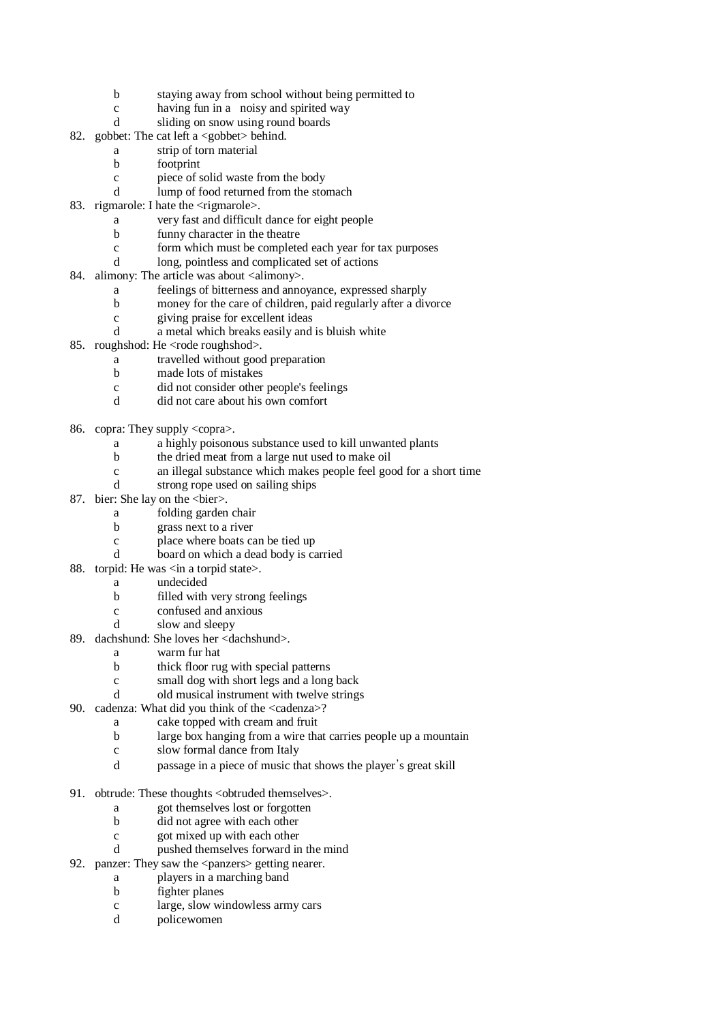- b staying away from school without being permitted to
- c having fun in a noisy and spirited way
- d sliding on snow using round boards
- 82. gobbet: The cat left a <gobbet> behind.
	- a strip of torn material
	- b footprint
	- c piece of solid waste from the body
	- d lump of food returned from the stomach
- 83. rigmarole: I hate the <rigmarole>.
	- a very fast and difficult dance for eight people
	- b funny character in the theatre
	- c form which must be completed each year for tax purposes
	- d long, pointless and complicated set of actions
- 84. alimony: The article was about  $\langle$  alimony $\rangle$ .
	- a feelings of bitterness and annoyance, expressed sharply
	- b money for the care of children, paid regularly after a divorce
	- c giving praise for excellent ideas
	- d a metal which breaks easily and is bluish white
- 85. roughshod: He <rode roughshod>.
	- a travelled without good preparation
	- b made lots of mistakes
	- c did not consider other people's feelings
	- d did not care about his own comfort
- 86. copra: They supply <copra>.
	- a a highly poisonous substance used to kill unwanted plants
	- b the dried meat from a large nut used to make oil
	- c an illegal substance which makes people feel good for a short time
	- d strong rope used on sailing ships
- 87. bier: She lay on the <br/>sbier>.
	- a folding garden chair
	- b grass next to a river
	- c place where boats can be tied up
	- d board on which a dead body is carried
- 88. torpid: He was  $\langle$  in a torpid state $\rangle$ .
	- a undecided
	- b filled with very strong feelings
	- c confused and anxious
	- d slow and sleepy
- 89. dachshund: She loves her <dachshund>.
	- a warm fur hat
	- b thick floor rug with special patterns
	- c small dog with short legs and a long back
	- d old musical instrument with twelve strings
- 90. cadenza: What did you think of the <cadenza>?
	- a cake topped with cream and fruit
	- b large box hanging from a wire that carries people up a mountain
	- c slow formal dance from Italy
	- d passage in a piece of music that shows the player's great skill
- 91. obtrude: These thoughts <obtruded themselves>.
	- a got themselves lost or forgotten
	- b did not agree with each other
	- c got mixed up with each other
	- d pushed themselves forward in the mind
- 92. panzer: They saw the <panzers> getting nearer.
	- a players in a marching band
	- b fighter planes
	- c large, slow windowless army cars
	- d policewomen